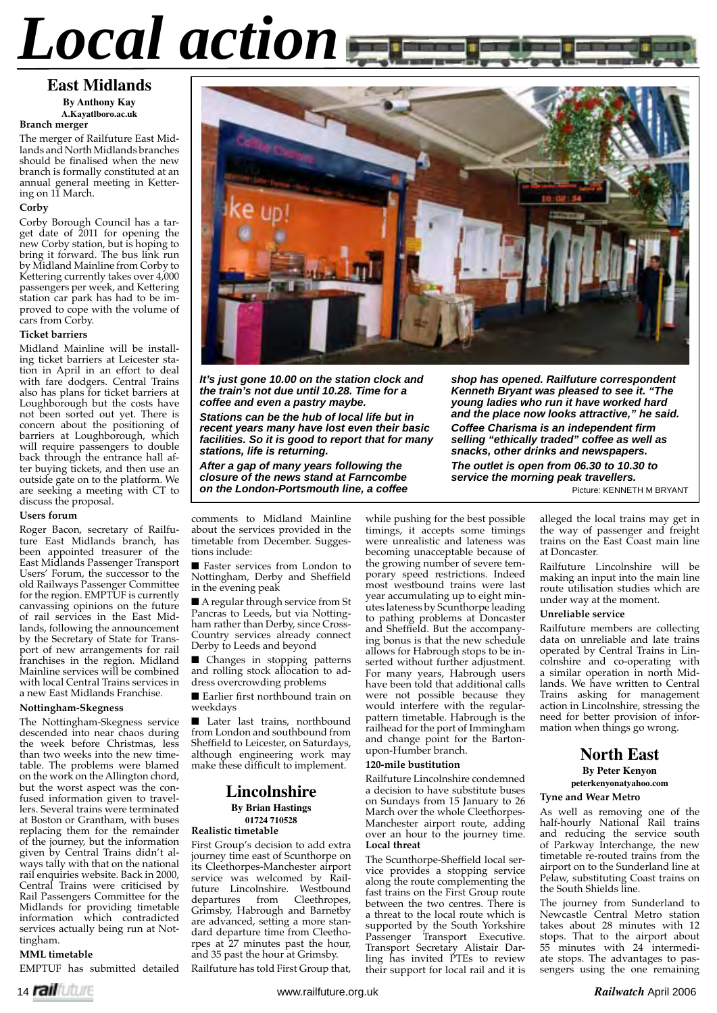# *Local action*

# **East Midlands By Anthony Kay A.Kayatlboro.ac.uk**

**Branch merger**

The merger of Railfuture East Midlands and North Midlands branches should be finalised when the new branch is formally constituted at an annual general meeting in Kettering on 11 March.

# **Corby**

Corby Borough Council has a target date of 2011 for opening the new Corby station, but is hoping to bring it forward. The bus link run by Midland Mainline from Corby to Kettering currently takes over 4,000 passengers per week, and Kettering station car park has had to be improved to cope with the volume of cars from Corby.

# **Ticket barriers**

Midland Mainline will be installing ticket barriers at Leicester station in April in an effort to deal with fare dodgers. Central Trains also has plans for ticket barriers at Loughborough but the costs have not been sorted out yet. There is concern about the positioning of barriers at Loughborough, which will require passengers to double back through the entrance hall after buying tickets, and then use an outside gate on to the platform. We are seeking a meeting with CT to discuss the proposal.

#### **Users forum**

Roger Bacon, secretary of Railfuture East Midlands branch, has been appointed treasurer of the East Midlands Passenger Transport Users' Forum, the successor to the old Railways Passenger Committee for the region. EMPTUF is currently canvassing opinions on the future of rail services in the East Midlands, following the announcement by the Secretary of State for Transport of new arrangements for rail franchises in the region. Midland Mainline services will be combined with local Central Trains services in a new East Midlands Franchise.

## **Nottingham-Skegness**

The Nottingham-Skegness service descended into near chaos during the week before Christmas, less than two weeks into the new timetable. The problems were blamed on the work on the Allington chord, but the worst aspect was the confused information given to travellers. Several trains were terminated at Boston or Grantham, with buses replacing them for the remainder of the journey, but the information given by Central Trains didn't always tally with that on the national rail enquiries website. Back in 2000, Central Trains were criticised by Rail Passengers Committee for the Midlands for providing timetable information which contradicted services actually being run at Nottingham.

# **MML timetable**

EMPTUF has submitted detailed



*It's just gone 10.00 on the station clock and the train's not due until 10.28. Time for a coffee and even a pastry maybe.*

*Stations can be the hub of local life but in recent years many have lost even their basic facilities. So it is good to report that for many stations, life is returning.*

*After a gap of many years following the closure of the news stand at Farncombe on the London-Portsmouth line, a coffee*  *shop has opened. Railfuture correspondent Kenneth Bryant was pleased to see it. "The young ladies who run it have worked hard and the place now looks attractive," he said.* **Coffee Charisma is an independent firm** *selling "ethically traded" coffee as well as snacks, other drinks and newspapers.*

*The outlet is open from 06.30 to 10.30 to service the morning peak travellers.*

Picture: KENNETH M BRYANT

comments to Midland Mainline about the services provided in the timetable from December. Suggestions include:

■ Faster services from London to Nottingham, Derby and Sheffield in the evening peak

■ A regular through service from St Pancras to Leeds, but via Nottingham rather than Derby, since Cross-Country services already connect Derby to Leeds and beyond

■ Changes in stopping patterns and rolling stock allocation to address overcrowding problems

■ Earlier first northbound train on weekdays

■ Later last trains, northbound from London and southbound from Sheffield to Leicester, on Saturdays, although engineering work may make these difficult to implement.

# **Lincolnshire By Brian Hastings 01724 710528**

# **Realistic timetable**

First Group's decision to add extra journey time east of Scunthorpe on its Cleethorpes-Manchester airport service was welcomed by Railfuture Lincolnshire. Westbound<br>departures from Cleethropes, Cleethropes, Grimsby, Habrough and Barnetby are advanced, setting a more standard departure time from Cleethorpes at 27 minutes past the hour, and 35 past the hour at Grimsby.

Railfuture has told First Group that,

while pushing for the best possible timings, it accepts some timings were unrealistic and lateness was becoming unacceptable because of the growing number of severe temporary speed restrictions. Indeed most westbound trains were last year accumulating up to eight minutes lateness by Scunthorpe leading to pathing problems at Doncaster and Sheffield. But the accompanying bonus is that the new schedule allows for Habrough stops to be inserted without further adjustment. For many years, Habrough users have been told that additional calls were not possible because they would interfere with the regularpattern timetable. Habrough is the railhead for the port of Immingham and change point for the Bartonupon-Humber branch.

#### **120-mile bustitution**

Railfuture Lincolnshire condemned a decision to have substitute buses on Sundays from 15 January to 26 March over the whole Cleethorpes-Manchester airport route, adding over an hour to the journey time. **Local threat**

The Scunthorpe-Sheffield local service provides a stopping service along the route complementing the fast trains on the First Group route between the two centres. There is a threat to the local route which is supported by the South Yorkshire Passenger Transport Executive. Transport Secretary Alistair Darling has invited PTEs to review their support for local rail and it is

alleged the local trains may get in the way of passenger and freight trains on the East Coast main line at Doncaster.

Railfuture Lincolnshire will be making an input into the main line route utilisation studies which are under way at the moment.

# **Unreliable service**

Railfuture members are collecting data on unreliable and late trains operated by Central Trains in Lincolnshire and co-operating with a similar operation in north Midlands. We have written to Central Trains asking for management action in Lincolnshire, stressing the need for better provision of information when things go wrong.

# **North East**

**By Peter Kenyon**

**peterkenyonatyahoo.com**

# **Tyne and Wear Metro**

As well as removing one of the half-hourly National Rail trains and reducing the service south of Parkway Interchange, the new timetable re-routed trains from the airport on to the Sunderland line at Pelaw, substituting Coast trains on the South Shields line.

The journey from Sunderland to Newcastle Central Metro station takes about 28 minutes with 12 stops. That to the airport about 55 minutes with 24 intermediate stops. The advantages to passengers using the one remaining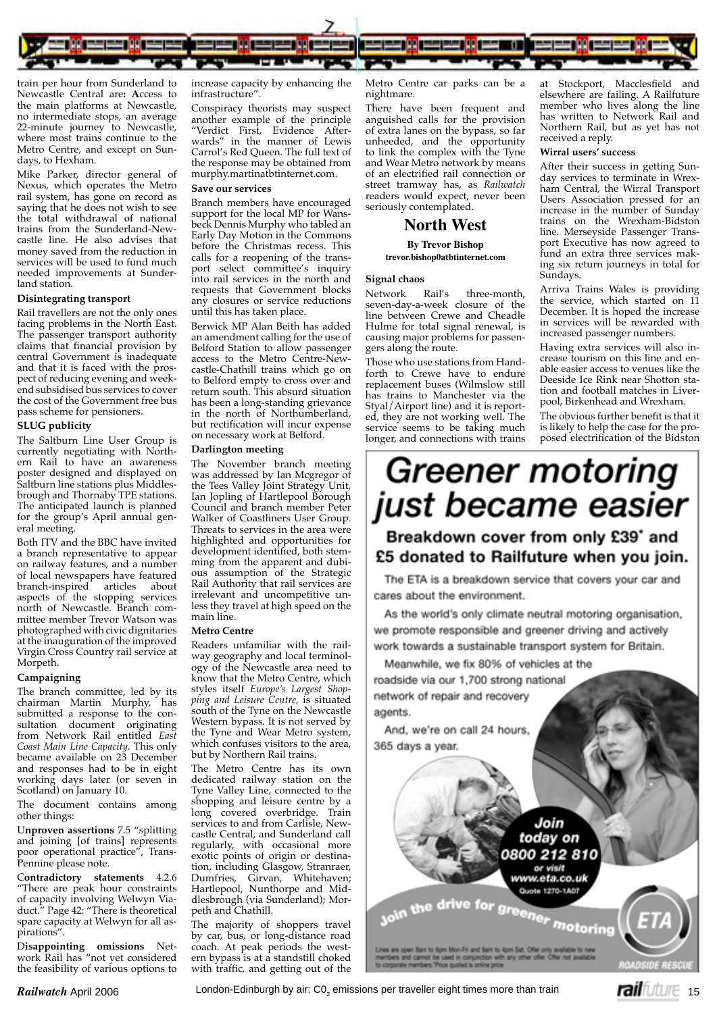

train per hour from Sunderland to Newcastle Central are**: A**ccess to the main platforms at Newcastle, no intermediate stops, an average 22-minute journey to Newcastle, where most trains continue to the Metro Centre, and except on Sundays, to Hexham.

Mike Parker, director general of Nexus, which operates the Metro rail system, has gone on record as saying that he does not wish to see the total withdrawal of national trains from the Sunderland-Newcastle line. He also advises that money saved from the reduction in services will be used to fund much needed improvements at Sunderland station.

#### **Disintegrating transport**

Rail travellers are not the only ones facing problems in the North East. The passenger transport authority claims that financial provision by central Government is inadequate and that it is faced with the prospect of reducing evening and weekend subsidised bus services to cover the cost of the Government free bus pass scheme for pensioners.

# **SLUG publicity**

The Saltburn Line User Group is currently negotiating with Northern Rail to have an awareness poster designed and displayed on Saltburn line stations plus Middlesbrough and Thornaby TPE stations. The anticipated launch is planned for the group's April annual general meeting.

Both ITV and the BBC have invited a branch representative to appear on railway features, and a number of local newspapers have featured<br>branch-inspired articles about branch-inspired articles about aspects of the stopping services north of Newcastle. Branch committee member Trevor Watson was photographed with civic dignitaries at the inauguration of the improved Virgin Cross Country rail service at Morpeth.

## **Campaigning**

The branch committee, led by its chairman Martin Murphy, has submitted a response to the consultation document originating from Network Rail entitled *East Coast Main Line Capacity*. This only became available on 23 December and responses had to be in eight working days later (or seven in Scotland) on January 10.

The document contains among other things:

U**nproven assertions** 7.5 "splitting and joining [of trains] represents poor operational practice", Trans-Pennine please note.

C**ontradictory statements** 4.2.6 "There are peak hour constraints of capacity involving Welwyn Viaduct." Page 42: "There is theoretical spare capacity at Welwyn for all aspirations".

D**isappointing omissions** Network Rail has "not yet considered the feasibility of various options to

increase capacity by enhancing the infrastructure".

Conspiracy theorists may suspect another example of the principle "Verdict First, Evidence Afterwards" in the manner of Lewis Carrol's Red Queen. The full text of the response may be obtained from murphy.martinatbtinternet.com.

# **Save our services**

Branch members have encouraged support for the local MP for Wansbeck Dennis Murphy who tabled an Early Day Motion in the Commons before the Christmas recess. This calls for a reopening of the transport select committee's inquiry into rail services in the north and requests that Government blocks any closures or service reductions until this has taken place.

Berwick MP Alan Beith has added an amendment calling for the use of Belford Station to allow passenger access to the Metro Centre-Newcastle-Chathill trains which go on to Belford empty to cross over and return south. This absurd situation has been a long-standing grievance in the north of Northumberland, but rectification will incur expense on necessary work at Belford.

#### **Darlington meeting**

The November branch meeting was addressed by Ian Mcgregor of the Tees Valley Joint Strategy Unit, Ian Jopling of Hartlepool Borough Council and branch member Peter Walker of Coastliners User Group. Threats to services in the area were highlighted and opportunities for development identified, both stemming from the apparent and dubious assumption of the Strategic Rail Authority that rail services are irrelevant and uncompetitive unless they travel at high speed on the main line.

#### **Metro Centre**

Readers unfamiliar with the railway geography and local terminology of the Newcastle area need to know that the Metro Centre, which styles itself *Europe's Largest Shopping and Leisure Centre,* is situated south of the Tyne on the Newcastle Western bypass. It is not served by the Tyne and Wear Metro system, which confuses visitors to the area, but by Northern Rail trains.

The Metro Centre has its own dedicated railway station on the Tyne Valley Line, connected to the shopping and leisure centre by a long covered overbridge. Train services to and from Carlisle, Newcastle Central, and Sunderland call regularly, with occasional more exotic points of origin or destination, including Glasgow, Stranraer, Dumfries, Girvan, Whitehaven; Hartlepool, Nunthorpe and Middlesbrough (via Sunderland); Morpeth and Chathill.

The majority of shoppers travel by car, bus, or long-distance road coach. At peak periods the western bypass is at a standstill choked with traffic, and getting out of the Metro Centre car parks can be a nightmare.

There have been frequent and anguished calls for the provision of extra lanes on the bypass, so far unheeded, and the opportunity to link the complex with the Tyne and Wear Metro network by means of an electrified rail connection or street tramway has, as *Railwatch* readers would expect, never been seriously contemplated.

# **North West**

#### **By Trevor Bishop trevor.bishop0atbtinternet.com**

# **Signal chaos**

Network Rail's three-month, seven-day-a-week closure of the line between Crewe and Cheadle Hulme for total signal renewal, is causing major problems for passengers along the route.

Those who use stations from Handforth to Crewe have to endure replacement buses (Wilmslow still has trains to Manchester via the Styal/Airport line) and it is reported, they are not working well. The service seems to be taking much longer, and connections with trains

at Stockport, Macclesfield elsewhere are failing. A Railfuture member who lives along the line has written to Network Rail and Northern Rail, but as yet has not received a reply.

# **Wirral users' success**

After their success in getting Sunday services to terminate in Wrexham Central, the Wirral Transport Users Association pressed for an increase in the number of Sunday trains on the Wrexham-Bidston line. Merseyside Passenger Transport Executive has now agreed to fund an extra three services making six return journeys in total for Sundays.

Arriva Trains Wales is providing the service, which started on 11 December. It is hoped the increase in services will be rewarded with increased passenger numbers.

Having extra services will also increase tourism on this line and enable easier access to venues like the Deeside Ice Rink near Shotton station and football matches in Liverpool, Birkenhead and Wrexham.

The obvious further benefit is that it is likely to help the case for the proposed electrification of the Bidston

# *Greener motoring* just became easier

# Breakdown cover from only £39° and £5 donated to Railfuture when you join.

The ETA is a breakdown service that covers your car and cares about the environment.

As the world's only climate neutral motoring organisation. we promote responsible and greener driving and actively work towards a sustainable transport system for Britain.

Meanwhile, we fix 80% of vehicles at the roadside via our 1,700 strong national network of repair and recovery agents.

And, we're on call 24 hours, 365 days a year.

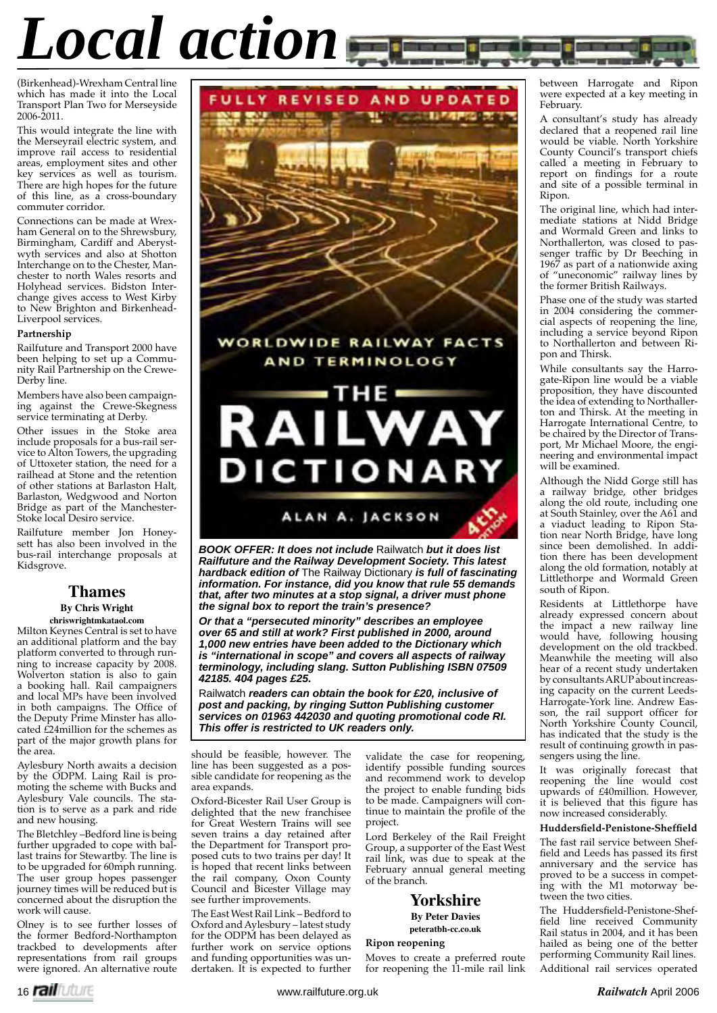# *Local action*

(Birkenhead)-Wrexham Central line which has made it into the Local Transport Plan Two for Merseyside 2006-2011.

This would integrate the line with the Merseyrail electric system, and improve rail access to residential areas, employment sites and other key services as well as tourism. There are high hopes for the future of this line, as a cross-boundary commuter corridor.

Connections can be made at Wrexham General on to the Shrewsbury, Birmingham, Cardiff and Aberystwyth services and also at Shotton Interchange on to the Chester, Manchester to north Wales resorts and Holyhead services. Bidston Interchange gives access to West Kirby to New Brighton and Birkenhead-Liverpool services.

# **Partnership**

Railfuture and Transport 2000 have been helping to set up a Community Rail Partnership on the Crewe-Derby line.

Members have also been campaigning against the Crewe-Skegness service terminating at Derby.

Other issues in the Stoke area include proposals for a bus-rail service to Alton Towers, the upgrading of Uttoxeter station, the need for a railhead at Stone and the retention of other stations at Barlaston Halt, Barlaston, Wedgwood and Norton Bridge as part of the Manchester-Stoke local Desiro service.

Railfuture member Jon Honeysett has also been involved in the bus-rail interchange proposals at Kidsgrove.

# **Thames**

#### **By Chris Wright chriswrightmkataol.com**

Milton Keynes Central is set to have an additional platform and the bay platform converted to through running to increase capacity by 2008. Wolverton station is also to gain a booking hall. Rail campaigners and local MPs have been involved in both campaigns. The Office of the Deputy Prime Minster has allocated  $\dot{\text{E}}$ 24million for the schemes as part of the major growth plans for the area.

Aylesbury North awaits a decision by the ODPM. Laing Rail is promoting the scheme with Bucks and Aylesbury Vale councils. The station is to serve as a park and ride and new housing.

The Bletchley –Bedford line is being further upgraded to cope with ballast trains for Stewartby. The line is to be upgraded for 60mph running. The user group hopes passenger journey times will be reduced but is concerned about the disruption the work will cause.

Olney is to see further losses of the former Bedford-Northampton trackbed to developments after representations from rail groups were ignored. An alternative route



*BOOK OFFER: It does not include* Railwatch *but it does list Railfuture and the Railway Development Society. This latest hardback edition of* The Railway Dictionary *is full of fascinating information. For instance, did you know that rule 55 demands that, after two minutes at a stop signal, a driver must phone the signal box to report the train's presence?*

**DICTIONARY** 

ALAN A. JACKSON

*Or that a "persecuted minority" describes an employee over 65 and still at work? First published in 2000, around 1,000 new entries have been added to the Dictionary which is "international in scope" and covers all aspects of railway terminology, including slang. Sutton Publishing ISBN 07509 42185. 404 pages £25.* 

Railwatch *readers can obtain the book for £20, inclusive of post and packing, by ringing Sutton Publishing customer services on 01963 442030 and quoting promotional code RI. This offer is restricted to UK readers only.*

should be feasible, however. The line has been suggested as a possible candidate for reopening as the area expands.

Oxford-Bicester Rail User Group is delighted that the new franchisee for Great Western Trains will see seven trains a day retained after the Department for Transport proposed cuts to two trains per day! It is hoped that recent links between the rail company, Oxon County Council and Bicester Village may see further improvements.

The East West Rail Link – Bedford to Oxford and Aylesbury – latest study for the ODPM has been delayed as further work on service options and funding opportunities was undertaken. It is expected to further validate the case for reopening, identify possible funding sources and recommend work to develop the project to enable funding bids to be made. Campaigners will continue to maintain the profile of the project.

Lord Berkeley of the Rail Freight Group, a supporter of the East West rail link, was due to speak at the February annual general meeting of the branch.

# **Yorkshire**

**By Peter Davies peteratbh-cc.co.uk**

# **Ripon reopening**

Moves to create a preferred route for reopening the 11-mile rail link

 between Harrogate and Ripon were expected at a key meeting in February.

A consultant's study has already declared that a reopened rail line would be viable. North Yorkshire County Council's transport chiefs called a meeting in February to report on findings for a route and site of a possible terminal in Ripon.

The original line, which had intermediate stations at Nidd Bridge and Wormald Green and links to Northallerton, was closed to passenger traffic by Dr Beeching in 1967 as part of a nationwide axing of "uneconomic" railway lines by the former British Railways.

Phase one of the study was started in 2004 considering the commercial aspects of reopening the line, including a service beyond Ripon to Northallerton and between Ripon and Thirsk.

While consultants say the Harrogate-Ripon line would be a viable proposition, they have discounted the idea of extending to Northallerton and Thirsk. At the meeting in Harrogate International Centre, to be chaired by the Director of Transport, Mr Michael Moore, the engineering and environmental impact will be examined.

Although the Nidd Gorge still has a railway bridge, other bridges along the old route, including one at South Stainley, over the A61 and a viaduct leading to Ripon Station near North Bridge, have long since been demolished. In addition there has been development along the old formation, notably at Littlethorpe and Wormald Green south of Ripon.

Residents at Littlethorpe have already expressed concern about the impact a new railway line would have, following housing development on the old trackbed. Meanwhile the meeting will also hear of a recent study undertaken by consultants ARUP about increasing capacity on the current Leeds-Harrogate-York line. Andrew Easson, the rail support officer for North Yorkshire County Council, has indicated that the study is the result of continuing growth in passengers using the line.

It was originally forecast that reopening the line would cost upwards of £40million. However, it is believed that this figure has now increased considerably.

# **Huddersfield-Penistone-Sheffield**

The fast rail service between Sheffield and Leeds has passed its first anniversary and the service has proved to be a success in competing with the M1 motorway between the two cities.

The Huddersfield-Penistone-Sheffield line received Community Rail status in 2004, and it has been hailed as being one of the better performing Community Rail lines. Additional rail services operated

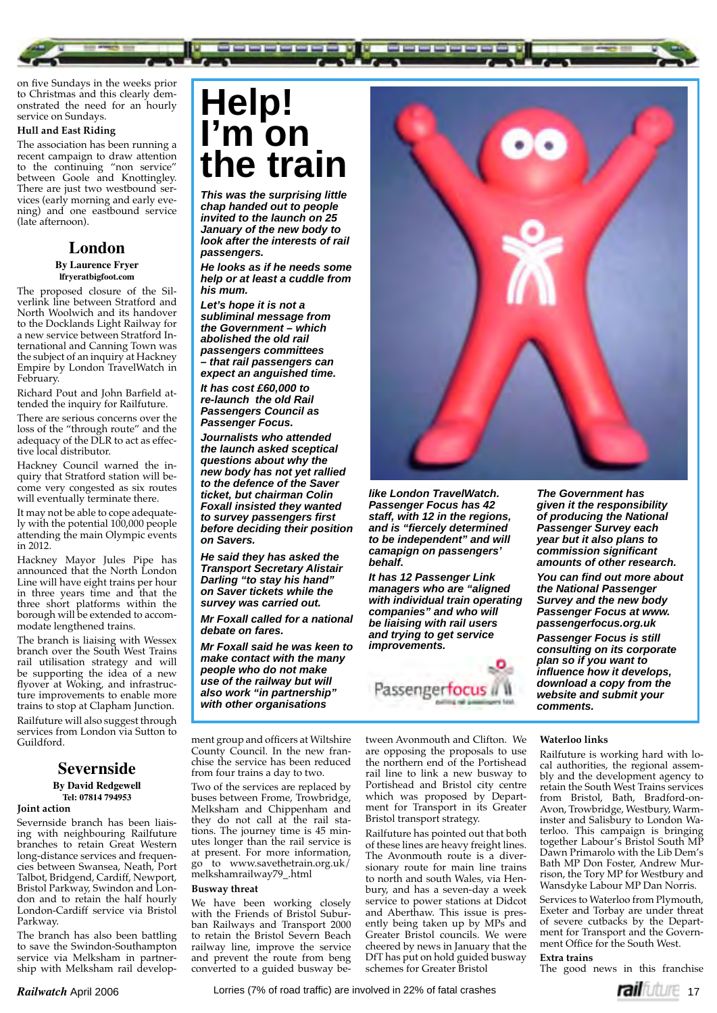on five Sundays in the weeks prior to Christmas and this clearly demonstrated the need for an hourly service on Sundays.

### **Hull and East Riding**

The association has been running a recent campaign to draw attention to the continuing "non service" between Goole and Knottingley. There are just two westbound services (early morning and early evening) and one eastbound service (late afternoon).

# **London**

#### **By Laurence Fryer lfryeratbigfoot.com**

The proposed closure of the Silverlink line between Stratford and North Woolwich and its handover to the Docklands Light Railway for a new service between Stratford International and Canning Town was the subject of an inquiry at Hackney Empire by London TravelWatch in February.

Richard Pout and John Barfield attended the inquiry for Railfuture.

There are serious concerns over the loss of the "through route" and the adequacy of the DLR to act as effective local distributor.

Hackney Council warned the inquiry that Stratford station will become very congested as six routes will eventually terminate there.

It may not be able to cope adequately with the potential 100,000 people attending the main Olympic events in 2012.

Hackney Mayor Jules Pipe has announced that the North London Line will have eight trains per hour in three years time and that the three short platforms within the borough will be extended to accommodate lengthened trains.

The branch is liaising with Wessex branch over the South West Trains rail utilisation strategy and will be supporting the idea of a new flyover at Woking, and infrastructure improvements to enable more trains to stop at Clapham Junction. Railfuture will also suggest through services from London via Sutton to Guildford.

# **Severnside**

# **By David Redgewell Tel: 07814 794953**

# **Joint action**

Severnside branch has been liaising with neighbouring Railfuture branches to retain Great Western long-distance services and frequencies between Swansea, Neath, Port Talbot, Bridgend, Cardiff, Newport, Bristol Parkway, Swindon and London and to retain the half hourly London-Cardiff service via Bristol Parkway.

The branch has also been battling to save the Swindon-Southampton service via Melksham in partnership with Melksham rail develop-

# **Help! I'm on the train**

*This was the surprising little chap handed out to people invited to the launch on 25 January of the new body to look after the interests of rail passengers.* 

*He looks as if he needs some help or at least a cuddle from his mum.*

*Let's hope it is not a subliminal message from the Government – which abolished the old rail passengers committees – that rail passengers can expect an anguished time.*

*It has cost £60,000 to re-launch the old Rail Passengers Council as Passenger Focus.*

*Journalists who attended the launch asked sceptical questions about why the new body has not yet rallied to the defence of the Saver ticket, but chairman Colin Foxall insisted they wanted to survey passengers fi rst before deciding their position on Savers.*

*He said they has asked the Transport Secretary Alistair Darling "to stay his hand" on Saver tickets while the survey was carried out.* 

*Mr Foxall called for a national debate on fares.*

*Mr Foxall said he was keen to make contact with the many people who do not make use of the railway but will also work "in partnership" with other organisations* 

ment group and officers at Wiltshire County Council. In the new franchise the service has been reduced from four trains a day to two.

Two of the services are replaced by buses between Frome, Trowbridge, Melksham and Chippenham and they do not call at the rail stations. The journey time is 45 minutes longer than the rail service is at present. For more information, go to www.savethetrain.org.uk/ melkshamrailway79\_.html

#### **Busway threat**

We have been working closely with the Friends of Bristol Suburban Railways and Transport 2000 to retain the Bristol Severn Beach railway line, improve the service and prevent the route from beng converted to a guided busway be-



*like London TravelWatch. Passenger Focus has 42 staff, with 12 in the regions,*  and is "fiercely determined *to be independent" and will camapign on passengers' behalf.* 

*It has 12 Passenger Link managers who are "aligned with individual train operating companies" and who will be liaising with rail users and trying to get service improvements.*



*of producing the National Passenger Survey each year but it also plans to commission signifi cant amounts of other research.* You can find out more about *the National Passenger Survey and the new body Passenger Focus at www. passengerfocus.org.uk Passenger Focus is still consulting on its corporate plan so if you want to infl uence how it develops, download a copy from the website and submit your comments.*

*The Government has given it the responsibility* 

tween Avonmouth and Clifton. We are opposing the proposals to use the northern end of the Portishead rail line to link a new busway to Portishead and Bristol city centre which was proposed by Department for Transport in its Greater Bristol transport strategy.

Railfuture has pointed out that both of these lines are heavy freight lines. The Avonmouth route is a diversionary route for main line trains to north and south Wales, via Henbury, and has a seven-day a week service to power stations at Didcot and Aberthaw. This issue is presently being taken up by MPs and Greater Bristol councils. We were cheered by news in January that the DfT has put on hold guided busway schemes for Greater Bristol

### **Waterloo links**

Railfuture is working hard with local authorities, the regional assembly and the development agency to retain the South West Trains services from Bristol, Bath, Bradford-on-Avon, Trowbridge, Westbury, Warminster and Salisbury to London Waterloo. This campaign is bringing together Labour's Bristol South MP Dawn Primarolo with the Lib Dem's Bath MP Don Foster, Andrew Murrison, the Tory MP for Westbury and Wansdyke Labour MP Dan Norris.

Services to Waterloo from Plymouth, Exeter and Torbay are under threat of severe cutbacks by the Department for Transport and the Government Office for the South West.

**Extra trains** The good news in this franchise



**Railwatch** April 2006 **17** Lorries (7% of road traffic) are involved in 22% of fatal crashes **17 COV RAILME** 17 Lorries (7% of road traffi c) are involved in 22% of fatal crashes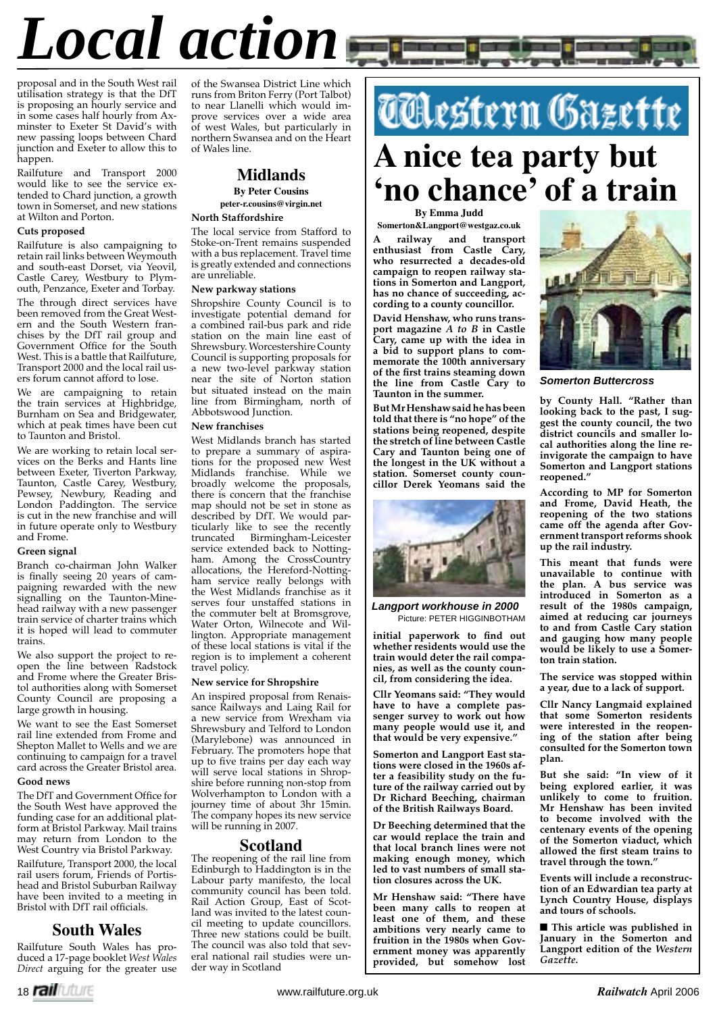# *Local action*

proposal and in the South West rail utilisation strategy is that the DfT is proposing an hourly service and in some cases half hourly from Axminster to Exeter St David's with new passing loops between Chard junction and Exeter to allow this to happen.

Railfuture and Transport 2000 would like to see the service extended to Chard junction, a growth town in Somerset, and new stations at Wilton and Porton.

# **Cuts proposed**

Railfuture is also campaigning to retain rail links between Weymouth and south-east Dorset, via Yeovil, Castle Carey, Westbury to Plymouth, Penzance, Exeter and Torbay. The through direct services have been removed from the Great Western and the South Western franchises by the DfT rail group and Government Office for the South West. This is a battle that Railfuture, Transport 2000 and the local rail users forum cannot afford to lose.

We are campaigning to retain the train services at Highbridge, Burnham on Sea and Bridgewater, which at peak times have been cut to Taunton and Bristol.

We are working to retain local services on the Berks and Hants line between Exeter, Tiverton Parkway, Taunton, Castle Carey, Westbury, Pewsey, Newbury, Reading and London Paddington. The service is cut in the new franchise and will in future operate only to Westbury and Frome.

# **Green signal**

Branch co-chairman John Walker is finally seeing 20 years of campaigning rewarded with the new signalling on the Taunton-Minehead railway with a new passenger train service of charter trains which it is hoped will lead to commuter trains.

We also support the project to reopen the line between Radstock and Frome where the Greater Bristol authorities along with Somerset County Council are proposing a large growth in housing.

We want to see the East Somerset rail line extended from Frome and Shepton Mallet to Wells and we are continuing to campaign for a travel card across the Greater Bristol area.

#### **Good news**

The DfT and Government Office for the South West have approved the funding case for an additional platform at Bristol Parkway. Mail trains may return from London to the West Country via Bristol Parkway.

Railfuture, Transport 2000, the local rail users forum, Friends of Portishead and Bristol Suburban Railway have been invited to a meeting in Bristol with DfT rail officials.

# **South Wales**

Railfuture South Wales has produced a 17-page booklet *West Wales Direct* arguing for the greater use

of the Swansea District Line which runs from Briton Ferry (Port Talbot) to near Llanelli which would improve services over a wide area of west Wales, but particularly in northern Swansea and on the Heart of Wales line.



#### **North Staffordshire**

The local service from Stafford to Stoke-on-Trent remains suspended with a bus replacement. Travel time is greatly extended and connections are unreliable.

# **New parkway stations**

Shropshire County Council is to investigate potential demand for a combined rail-bus park and ride station on the main line east of Shrewsbury. Worcestershire County Council is supporting proposals for a new two-level parkway station near the site of Norton station but situated instead on the main line from Birmingham, north of Abbotswood Junction.

# **New franchises**

West Midlands branch has started to prepare a summary of aspirations for the proposed new West Midlands franchise. While we broadly welcome the proposals, there is concern that the franchise map should not be set in stone as described by DfT. We would particularly like to see the recently truncated Birmingham-Leicester service extended back to Nottingham. Among the CrossCountry allocations, the Hereford-Nottingham service really belongs with the West Midlands franchise as it serves four unstaffed stations in the commuter belt at Bromsgrove, Water Orton, Wilnecote and Willington. Appropriate management of these local stations is vital if the region is to implement a coherent travel policy.

#### **New service for Shropshire**

An inspired proposal from Renaissance Railways and Laing Rail for a new service from Wrexham via Shrewsbury and Telford to London (Marylebone) was announced in February. The promoters hope that up to five trains per day each way will serve local stations in Shropshire before running non-stop from Wolverhampton to London with a journey time of about 3hr 15min. The company hopes its new service will be running in 2007.

## **Scotland**

The reopening of the rail line from Edinburgh to Haddington is in the Labour party manifesto, the local community council has been told. Rail Action Group, East of Scotland was invited to the latest council meeting to update councillors. Three new stations could be built. The council was also told that several national rail studies were under way in Scotland

# *TCkestern Gazette*

# **A nice tea party but 'no chance' of a train**

**By Emma Judd**

**Somerton&Langport@westgaz.co.uk A railway and transport enthusiast from Castle Cary, who resurrected a decades-old campaign to reopen railway stations in Somerton and Langport, has no chance of succeeding, according to a county councillor.** 

**David Henshaw, who runs transport magazine** *A to B* **in Castle Cary, came up with the idea in a bid to support plans to commemorate the 100th anniversary**  of the first trains steaming down **the line from Castle Cary to Taunton in the summer.**

**But Mr Henshaw said he has been told that there is "no hope" of the stations being reopened, despite the stretch of line between Castle Cary and Taunton being one of the longest in the UK without a station. Somerset county councillor Derek Yeomans said the** 



*Langport workhouse in 2000*

initial paperwork to find out **whether residents would use the train would deter the rail companies, as well as the county council, from considering the idea.**

**Cllr Yeomans said: "They would have to have a complete passenger survey to work out how many people would use it, and that would be very expensive."**

**Somerton and Langport East stations were closed in the 1960s after a feasibility study on the future of the railway carried out by Dr Richard Beeching, chairman of the British Railways Board.**

**Dr Beeching determined that the car would replace the train and that local branch lines were not making enough money, which led to vast numbers of small station closures across the UK.**

**Mr Henshaw said: "There have been many calls to reopen at least one of them, and these ambitions very nearly came to fruition in the 1980s when Government money was apparently provided, but somehow lost** 



*Somerton Buttercross*

**by County Hall. "Rather than looking back to the past, I suggest the county council, the two district councils and smaller local authorities along the line reinvigorate the campaign to have Somerton and Langport stations reopened."**

**According to MP for Somerton and Frome, David Heath, the reopening of the two stations came off the agenda after Government transport reforms shook up the rail industry.**

**This meant that funds were unavailable to continue with the plan. A bus service was introduced in Somerton as a result of the 1980s campaign, aimed at reducing car journeys to and from Castle Cary station and gauging how many people would be likely to use a Somerton train station.**

**The service was stopped within a year, due to a lack of support.**

**Cllr Nancy Langmaid explained that some Somerton residents were interested in the reopening of the station after being consulted for the Somerton town plan.**

**But she said: "In view of it being explored earlier, it was unlikely to come to fruition. Mr Henshaw has been invited to become involved with the centenary events of the opening of the Somerton viaduct, which**  allowed the first steam trains to **travel through the town."**

**Events will include a reconstruction of an Edwardian tea party at Lynch Country House, displays and tours of schools.**

■ This article was published in **January in the Somerton and Langport edition of the** *Western Gazette.*